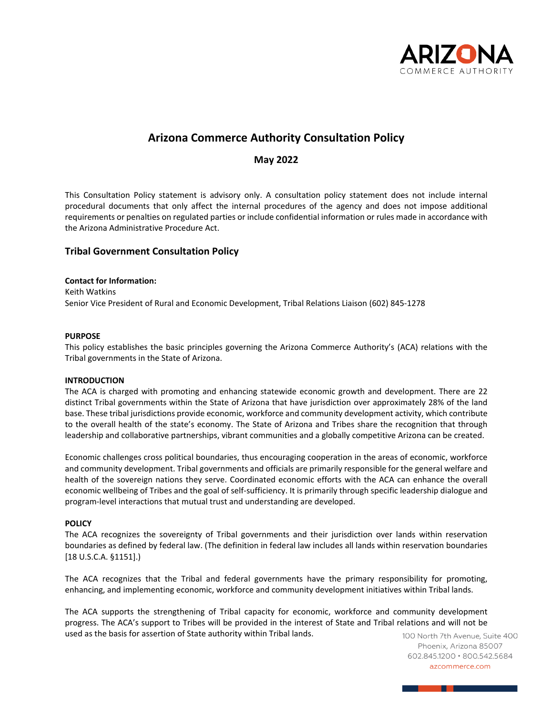

# **Arizona Commerce Authority Consultation Policy**

# **May 2022**

This Consultation Policy statement is advisory only. A consultation policy statement does not include internal procedural documents that only affect the internal procedures of the agency and does not impose additional requirements or penalties on regulated parties or include confidential information or rules made in accordance with the Arizona Administrative Procedure Act.

# **Tribal Government Consultation Policy**

### **Contact for Information:**

Keith Watkins Senior Vice President of Rural and Economic Development, Tribal Relations Liaison (602) 845-1278

### **PURPOSE**

This policy establishes the basic principles governing the Arizona Commerce Authority's (ACA) relations with the Tribal governments in the State of Arizona.

#### **INTRODUCTION**

The ACA is charged with promoting and enhancing statewide economic growth and development. There are 22 distinct Tribal governments within the State of Arizona that have jurisdiction over approximately 28% of the land base. These tribal jurisdictions provide economic, workforce and community development activity, which contribute to the overall health of the state's economy. The State of Arizona and Tribes share the recognition that through leadership and collaborative partnerships, vibrant communities and a globally competitive Arizona can be created.

Economic challenges cross political boundaries, thus encouraging cooperation in the areas of economic, workforce and community development. Tribal governments and officials are primarily responsible for the general welfare and health of the sovereign nations they serve. Coordinated economic efforts with the ACA can enhance the overall economic wellbeing of Tribes and the goal of self-sufficiency. It is primarily through specific leadership dialogue and program-level interactions that mutual trust and understanding are developed.

## **POLICY**

The ACA recognizes the sovereignty of Tribal governments and their jurisdiction over lands within reservation boundaries as defined by federal law. (The definition in federal law includes all lands within reservation boundaries [18 U.S.C.A. §1151].)

The ACA recognizes that the Tribal and federal governments have the primary responsibility for promoting, enhancing, and implementing economic, workforce and community development initiatives within Tribal lands.

The ACA supports the strengthening of Tribal capacity for economic, workforce and community development progress. The ACA's support to Tribes will be provided in the interest of State and Tribal relations and will not be used as the basis for assertion of State authority within Tribal lands.

100 North 7th Avenue, Suite 400 Phoenix, Arizona 85007 602.845.1200 · 800.542.5684 azcommerce.com

<u> a shekara ta 1980 a ƙasar Ingila.</u>